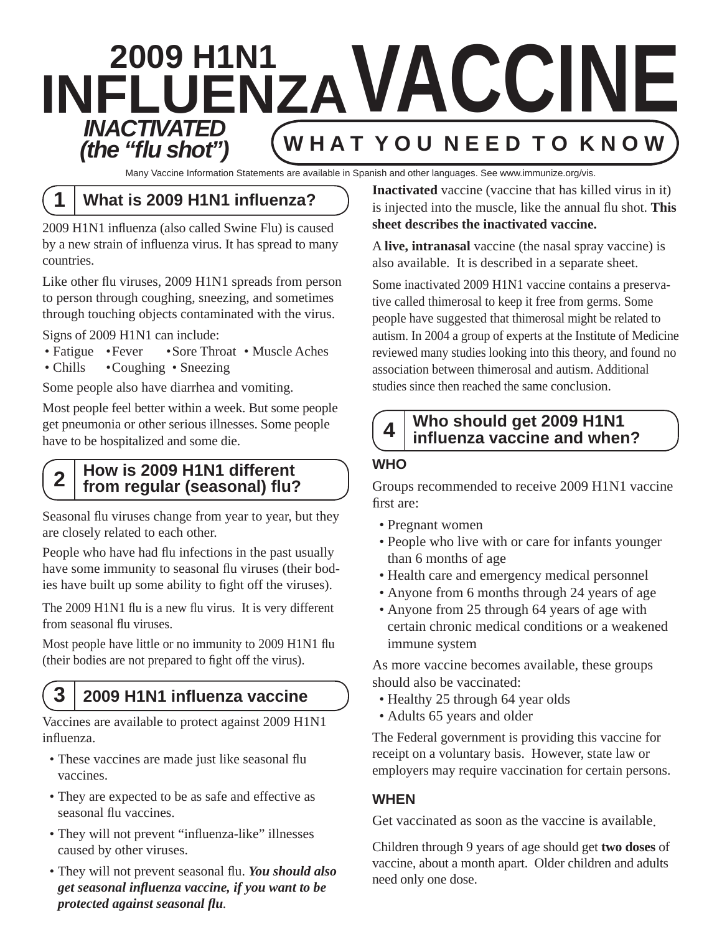# **2009 H1N1 INFLUENZAVACCINE W H A T Y O U N E E D T O K N O W** *INACTIVATED (the "fl u shot")*

Many Vaccine Information Statements are available in Spanish and other languages. See www.immunize.org/vis.

## **1 What is 2009 H1N1 infl uenza?**

2009 H1N1 influenza (also called Swine Flu) is caused by a new strain of influenza virus. It has spread to many countries.

Like other flu viruses, 2009 H1N1 spreads from person to person through coughing, sneezing, and sometimes through touching objects contaminated with the virus.

Signs of 2009 H1N1 can include:

- Fatigue Fever Sore Throat Muscle Aches
- Chills Coughing Sneezing

Some people also have diarrhea and vomiting.

Most people feel better within a week. But some people get pneumonia or other serious illnesses. Some people have to be hospitalized and some die.

### **How is 2009 H1N1 different from regular (seasonal) fluth**  $\mathbf{f}$  **and**  $\mathbf{f}$  and  $\mathbf{f}$  **and**  $\mathbf{f}$  and  $\mathbf{f}$

Seasonal flu viruses change from year to year, but they are closely related to each other.

People who have had flu infections in the past usually have some immunity to seasonal flu viruses (their bodies have built up some ability to fight off the viruses).

The 2009 H1N1 flu is a new flu virus. It is very different from seasonal flu viruses.

Most people have little or no immunity to 2009 H1N1 flu (their bodies are not prepared to fight off the virus).

## **3 2009 H1N1 infl uenza vaccine**

Vaccines are available to protect against 2009 H1N1 influenza.

- These vaccines are made just like seasonal flu vaccines.
- They are expected to be as safe and effective as seasonal flu vaccines.
- They will not prevent "influenza-like" illnesses caused by other viruses.
- They will not prevent seasonal flu. You should also  *get seasonal infl uenza vaccine, if you want to be protected against seasonal flu.*

**Inactivated** vaccine (vaccine that has killed virus in it) is injected into the muscle, like the annual flu shot. **This sheet describes the inactivated vaccine.**

A **live, intranasal** vaccine (the nasal spray vaccine) is also available. It is described in a separate sheet.

Some inactivated 2009 H1N1 vaccine contains a preservative called thimerosal to keep it free from germs. Some people have suggested that thimerosal might be related to autism. In 2004 a group of experts at the Institute of Medicine reviewed many studies looking into this theory, and found no association between thimerosal and autism. Additional studies since then reached the same conclusion.

### **Who should get 2009 H1N1 infl uenza vaccine and when? 4**

### **WHO**

Groups recommended to receive 2009 H1N1 vaccine first are:

- Pregnant women
- People who live with or care for infants younger than 6 months of age
- Health care and emergency medical personnel
- Anyone from 6 months through 24 years of age
- Anyone from 25 through 64 years of age with certain chronic medical conditions or a weakened immune system

As more vaccine becomes available, these groups should also be vaccinated:

- Healthy 25 through 64 year olds
- Adults 65 years and older

The Federal government is providing this vaccine for receipt on a voluntary basis. However, state law or employers may require vaccination for certain persons.

### **WHEN**

Get vaccinated as soon as the vaccine is available.

Children through 9 years of age should get **two doses** of vaccine, about a month apart. Older children and adults need only one dose.